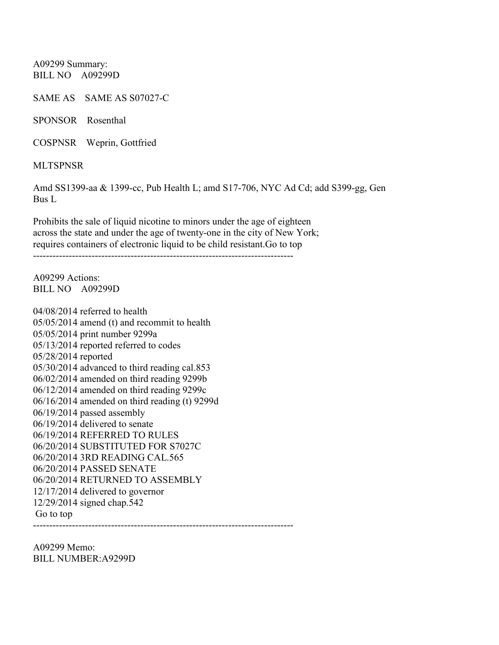A09299 Summary: BILL NO A09299D

SAME AS SAME AS S07027-C

SPONSOR Rosenthal

COSPNSR Weprin, Gottfried

**MLTSPNSR** 

Amd SS1399-aa & 1399-cc, Pub Health L; amd S17-706, NYC Ad Cd; add S399-gg, Gen Bus L

Prohibits the sale of liquid nicotine to minors under the age of eighteen across the state and under the age of twenty-one in the city of New York; requires containers of electronic liquid to be child resistant.Go to top

--------------------------------------------------------------------------------

A09299 Actions: BILL NO A09299D

04/08/2014 referred to health 05/05/2014 amend (t) and recommit to health 05/05/2014 print number 9299a 05/13/2014 reported referred to codes 05/28/2014 reported 05/30/2014 advanced to third reading cal.853 06/02/2014 amended on third reading 9299b 06/12/2014 amended on third reading 9299c 06/16/2014 amended on third reading (t) 9299d 06/19/2014 passed assembly 06/19/2014 delivered to senate 06/19/2014 REFERRED TO RULES 06/20/2014 SUBSTITUTED FOR S7027C 06/20/2014 3RD READING CAL.565 06/20/2014 PASSED SENATE 06/20/2014 RETURNED TO ASSEMBLY 12/17/2014 delivered to governor 12/29/2014 signed chap.542 Go to top --------------------------------------------------------------------------------

A09299 Memo: BILL NUMBER:A9299D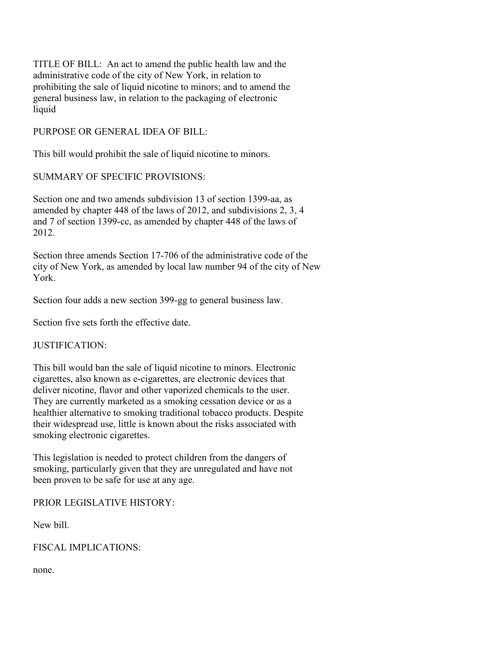TITLE OF BILL: An act to amend the public health law and the administrative code of the city of New York, in relation to prohibiting the sale of liquid nicotine to minors; and to amend the general business law, in relation to the packaging of electronic liquid

PURPOSE OR GENERAL IDEA OF BILL:

This bill would prohibit the sale of liquid nicotine to minors.

SUMMARY OF SPECIFIC PROVISIONS:

Section one and two amends subdivision 13 of section 1399-aa, as amended by chapter 448 of the laws of 2012, and subdivisions 2, 3, 4 and 7 of section 1399-cc, as amended by chapter 448 of the laws of 2012.

Section three amends Section 17-706 of the administrative code of the city of New York, as amended by local law number 94 of the city of New York.

Section four adds a new section 399-gg to general business law.

Section five sets forth the effective date.

## JUSTIFICATION:

This bill would ban the sale of liquid nicotine to minors. Electronic cigarettes, also known as e-cigarettes, are electronic devices that deliver nicotine, flavor and other vaporized chemicals to the user. They are currently marketed as a smoking cessation device or as a healthier alternative to smoking traditional tobacco products. Despite their widespread use, little is known about the risks associated with smoking electronic cigarettes.

This legislation is needed to protect children from the dangers of smoking, particularly given that they are unregulated and have not been proven to be safe for use at any age.

PRIOR LEGISLATIVE HISTORY:

New bill.

FISCAL IMPLICATIONS:

none.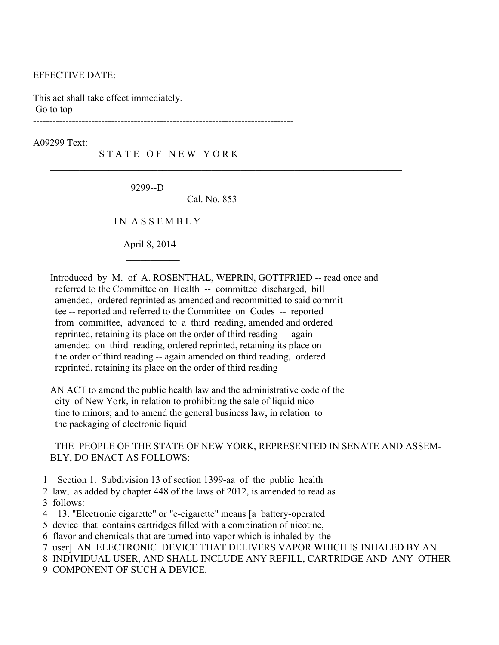## EFFECTIVE DATE:

This act shall take effect immediately. Go to top

 $\mathcal{L}_\text{max}$  and  $\mathcal{L}_\text{max}$  and  $\mathcal{L}_\text{max}$  and  $\mathcal{L}_\text{max}$ 

A09299 Text:

STATE OF NEW YORK

--------------------------------------------------------------------------------

9299--D

Cal. No. 853

 $\mathcal{L}_\text{max}$  , and the contribution of the contribution of the contribution of the contribution of the contribution of the contribution of the contribution of the contribution of the contribution of the contribution of t

I N A S S E M B L Y

April 8, 2014

 Introduced by M. of A. ROSENTHAL, WEPRIN, GOTTFRIED -- read once and referred to the Committee on Health -- committee discharged, bill amended, ordered reprinted as amended and recommitted to said commit tee -- reported and referred to the Committee on Codes -- reported from committee, advanced to a third reading, amended and ordered reprinted, retaining its place on the order of third reading -- again amended on third reading, ordered reprinted, retaining its place on the order of third reading -- again amended on third reading, ordered reprinted, retaining its place on the order of third reading

 AN ACT to amend the public health law and the administrative code of the city of New York, in relation to prohibiting the sale of liquid nico tine to minors; and to amend the general business law, in relation to the packaging of electronic liquid

## THE PEOPLE OF THE STATE OF NEW YORK, REPRESENTED IN SENATE AND ASSEM- BLY, DO ENACT AS FOLLOWS:

- 1 Section 1. Subdivision 13 of section 1399-aa of the public health
- 2 law, as added by chapter 448 of the laws of 2012, is amended to read as 3 follows:
- 4 13. "Electronic cigarette" or "e-cigarette" means [a battery-operated
- 5 device that contains cartridges filled with a combination of nicotine,
- 6 flavor and chemicals that are turned into vapor which is inhaled by the
- 7 user] AN ELECTRONIC DEVICE THAT DELIVERS VAPOR WHICH IS INHALED BY AN
- 8 INDIVIDUAL USER, AND SHALL INCLUDE ANY REFILL, CARTRIDGE AND ANY OTHER
- 9 COMPONENT OF SUCH A DEVICE.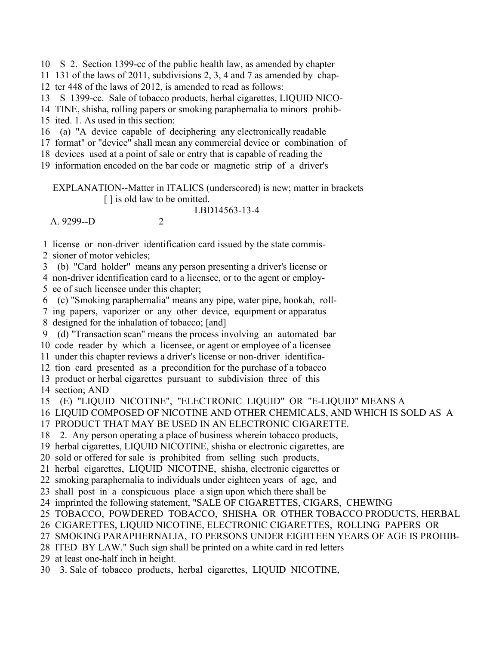10 S 2. Section 1399-cc of the public health law, as amended by chapter

11 131 of the laws of 2011, subdivisions 2, 3, 4 and 7 as amended by chap-

12 ter 448 of the laws of 2012, is amended to read as follows:

13 S 1399-cc. Sale of tobacco products, herbal cigarettes, LIQUID NICO-

14 TINE, shisha, rolling papers or smoking paraphernalia to minors prohib-

15 ited. 1. As used in this section:

16 (a) "A device capable of deciphering any electronically readable

17 format" or "device" shall mean any commercial device or combination of

18 devices used at a point of sale or entry that is capable of reading the

19 information encoded on the bar code or magnetic strip of a driver's

 EXPLANATION--Matter in ITALICS (underscored) is new; matter in brackets [ ] is old law to be omitted.

LBD14563-13-4

 $A$  9299--D 2

 1 license or non-driver identification card issued by the state commis- 2 sioner of motor vehicles;

3 (b) "Card holder" means any person presenting a driver's license or

 4 non-driver identification card to a licensee, or to the agent or employ- 5 ee of such licensee under this chapter;

6 (c) "Smoking paraphernalia" means any pipe, water pipe, hookah, roll-

7 ing papers, vaporizer or any other device, equipment or apparatus

8 designed for the inhalation of tobacco; [and]

9 (d) "Transaction scan" means the process involving an automated bar

10 code reader by which a licensee, or agent or employee of a licensee

11 under this chapter reviews a driver's license or non-driver identifica-

12 tion card presented as a precondition for the purchase of a tobacco

13 product or herbal cigarettes pursuant to subdivision three of this

14 section; AND

15 (E) "LIQUID NICOTINE", "ELECTRONIC LIQUID" OR "E-LIQUID" MEANS A

16 LIQUID COMPOSED OF NICOTINE AND OTHER CHEMICALS, AND WHICH IS SOLD AS A

17 PRODUCT THAT MAY BE USED IN AN ELECTRONIC CIGARETTE.

18 2. Any person operating a place of business wherein tobacco products,

19 herbal cigarettes, LIQUID NICOTINE, shisha or electronic cigarettes, are

20 sold or offered for sale is prohibited from selling such products,

21 herbal cigarettes, LIQUID NICOTINE, shisha, electronic cigarettes or

22 smoking paraphernalia to individuals under eighteen years of age, and

23 shall post in a conspicuous place a sign upon which there shall be

24 imprinted the following statement, "SALE OF CIGARETTES, CIGARS, CHEWING

25 TOBACCO, POWDERED TOBACCO, SHISHA OR OTHER TOBACCO PRODUCTS, HERBAL

26 CIGARETTES, LIQUID NICOTINE, ELECTRONIC CIGARETTES, ROLLING PAPERS OR

27 SMOKING PARAPHERNALIA, TO PERSONS UNDER EIGHTEEN YEARS OF AGE IS PROHIB-

28 ITED BY LAW." Such sign shall be printed on a white card in red letters

29 at least one-half inch in height.

30 3. Sale of tobacco products, herbal cigarettes, LIQUID NICOTINE,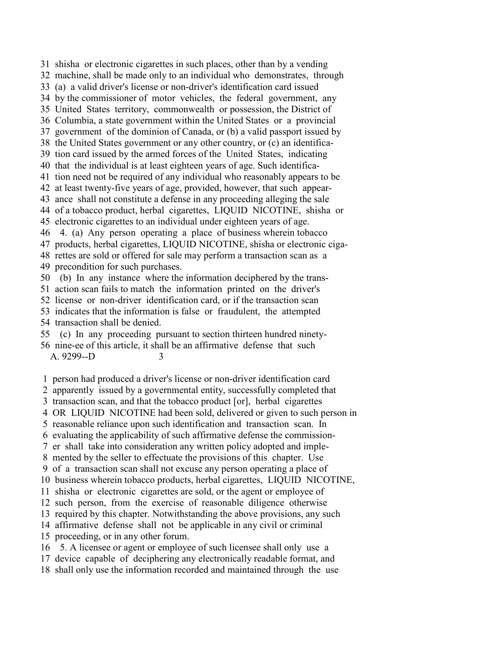31 shisha or electronic cigarettes in such places, other than by a vending 32 machine, shall be made only to an individual who demonstrates, through 33 (a) a valid driver's license or non-driver's identification card issued 34 by the commissioner of motor vehicles, the federal government, any 35 United States territory, commonwealth or possession, the District of 36 Columbia, a state government within the United States or a provincial 37 government of the dominion of Canada, or (b) a valid passport issued by 38 the United States government or any other country, or (c) an identifica- 39 tion card issued by the armed forces of the United States, indicating 40 that the individual is at least eighteen years of age. Such identifica- 41 tion need not be required of any individual who reasonably appears to be 42 at least twenty-five years of age, provided, however, that such appear- 43 ance shall not constitute a defense in any proceeding alleging the sale 44 of a tobacco product, herbal cigarettes, LIQUID NICOTINE, shisha or 45 electronic cigarettes to an individual under eighteen years of age. 46 4. (a) Any person operating a place of business wherein tobacco 47 products, herbal cigarettes, LIQUID NICOTINE, shisha or electronic ciga- 48 rettes are sold or offered for sale may perform a transaction scan as a 49 precondition for such purchases. 50 (b) In any instance where the information deciphered by the trans- 51 action scan fails to match the information printed on the driver's

52 license or non-driver identification card, or if the transaction scan

53 indicates that the information is false or fraudulent, the attempted

54 transaction shall be denied.

55 (c) In any proceeding pursuant to section thirteen hundred ninety-

 56 nine-ee of this article, it shall be an affirmative defense that such A. 9299--D 3

1 person had produced a driver's license or non-driver identification card

2 apparently issued by a governmental entity, successfully completed that

3 transaction scan, and that the tobacco product [or], herbal cigarettes

4 OR LIQUID NICOTINE had been sold, delivered or given to such person in

5 reasonable reliance upon such identification and transaction scan. In

6 evaluating the applicability of such affirmative defense the commission-

7 er shall take into consideration any written policy adopted and imple-

8 mented by the seller to effectuate the provisions of this chapter. Use

9 of a transaction scan shall not excuse any person operating a place of

10 business wherein tobacco products, herbal cigarettes, LIQUID NICOTINE,

11 shisha or electronic cigarettes are sold, or the agent or employee of

12 such person, from the exercise of reasonable diligence otherwise

13 required by this chapter. Notwithstanding the above provisions, any such

14 affirmative defense shall not be applicable in any civil or criminal

15 proceeding, or in any other forum.

16 5. A licensee or agent or employee of such licensee shall only use a

17 device capable of deciphering any electronically readable format, and

18 shall only use the information recorded and maintained through the use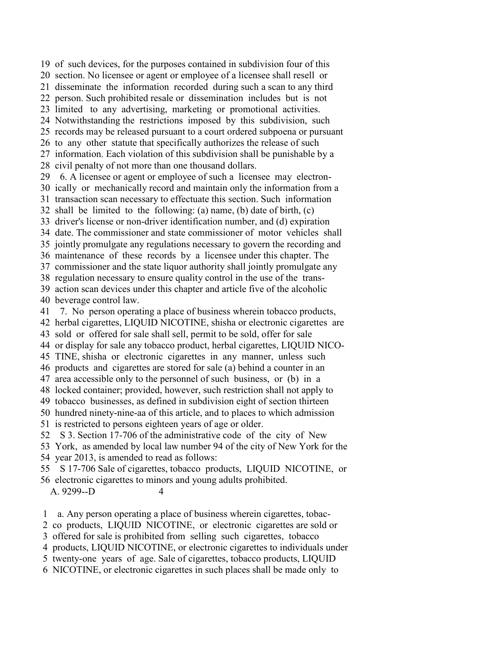19 of such devices, for the purposes contained in subdivision four of this 20 section. No licensee or agent or employee of a licensee shall resell or 21 disseminate the information recorded during such a scan to any third 22 person. Such prohibited resale or dissemination includes but is not 23 limited to any advertising, marketing or promotional activities. 24 Notwithstanding the restrictions imposed by this subdivision, such 25 records may be released pursuant to a court ordered subpoena or pursuant 26 to any other statute that specifically authorizes the release of such 27 information. Each violation of this subdivision shall be punishable by a 28 civil penalty of not more than one thousand dollars. 29 6. A licensee or agent or employee of such a licensee may electron- 30 ically or mechanically record and maintain only the information from a 31 transaction scan necessary to effectuate this section. Such information 32 shall be limited to the following: (a) name, (b) date of birth, (c) 33 driver's license or non-driver identification number, and (d) expiration 34 date. The commissioner and state commissioner of motor vehicles shall 35 jointly promulgate any regulations necessary to govern the recording and 36 maintenance of these records by a licensee under this chapter. The 37 commissioner and the state liquor authority shall jointly promulgate any 38 regulation necessary to ensure quality control in the use of the trans- 39 action scan devices under this chapter and article five of the alcoholic 40 beverage control law. 41 7. No person operating a place of business wherein tobacco products, 42 herbal cigarettes, LIQUID NICOTINE, shisha or electronic cigarettes are 43 sold or offered for sale shall sell, permit to be sold, offer for sale 44 or display for sale any tobacco product, herbal cigarettes, LIQUID NICO- 45 TINE, shisha or electronic cigarettes in any manner, unless such 46 products and cigarettes are stored for sale (a) behind a counter in an 47 area accessible only to the personnel of such business, or (b) in a 48 locked container; provided, however, such restriction shall not apply to 49 tobacco businesses, as defined in subdivision eight of section thirteen 50 hundred ninety-nine-aa of this article, and to places to which admission 51 is restricted to persons eighteen years of age or older. 52 S 3. Section 17-706 of the administrative code of the city of New

 53 York, as amended by local law number 94 of the city of New York for the 54 year 2013, is amended to read as follows:

 55 S 17-706 Sale of cigarettes, tobacco products, LIQUID NICOTINE, or 56 electronic cigarettes to minors and young adults prohibited.

## A. 9299--D 4

1 a. Any person operating a place of business wherein cigarettes, tobac-

2 co products, LIQUID NICOTINE, or electronic cigarettes are sold or

3 offered for sale is prohibited from selling such cigarettes, tobacco

4 products, LIQUID NICOTINE, or electronic cigarettes to individuals under

5 twenty-one years of age. Sale of cigarettes, tobacco products, LIQUID

6 NICOTINE, or electronic cigarettes in such places shall be made only to